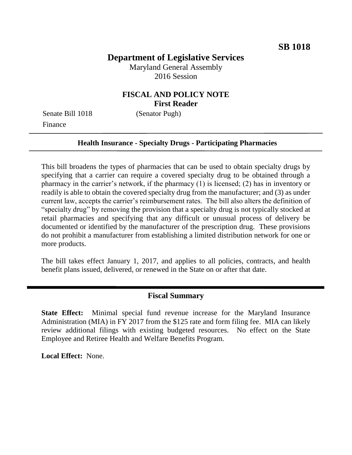## **Department of Legislative Services**

Maryland General Assembly 2016 Session

## **FISCAL AND POLICY NOTE First Reader**

Senate Bill 1018 (Senator Pugh) Finance

# **Health Insurance - Specialty Drugs - Participating Pharmacies**

This bill broadens the types of pharmacies that can be used to obtain specialty drugs by specifying that a carrier can require a covered specialty drug to be obtained through a pharmacy in the carrier's network, if the pharmacy (1) is licensed; (2) has in inventory or readily is able to obtain the covered specialty drug from the manufacturer; and (3) as under current law, accepts the carrier's reimbursement rates. The bill also alters the definition of "specialty drug" by removing the provision that a specialty drug is not typically stocked at retail pharmacies and specifying that any difficult or unusual process of delivery be documented or identified by the manufacturer of the prescription drug. These provisions do not prohibit a manufacturer from establishing a limited distribution network for one or more products.

The bill takes effect January 1, 2017, and applies to all policies, contracts, and health benefit plans issued, delivered, or renewed in the State on or after that date.

#### **Fiscal Summary**

**State Effect:** Minimal special fund revenue increase for the Maryland Insurance Administration (MIA) in FY 2017 from the \$125 rate and form filing fee. MIA can likely review additional filings with existing budgeted resources. No effect on the State Employee and Retiree Health and Welfare Benefits Program.

**Local Effect:** None.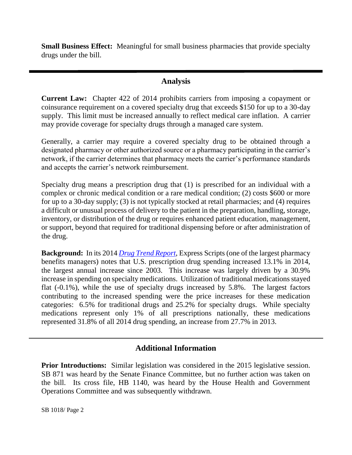**Small Business Effect:** Meaningful for small business pharmacies that provide specialty drugs under the bill.

### **Analysis**

**Current Law:** Chapter 422 of 2014 prohibits carriers from imposing a copayment or coinsurance requirement on a covered specialty drug that exceeds \$150 for up to a 30-day supply. This limit must be increased annually to reflect medical care inflation. A carrier may provide coverage for specialty drugs through a managed care system.

Generally, a carrier may require a covered specialty drug to be obtained through a designated pharmacy or other authorized source or a pharmacy participating in the carrier's network, if the carrier determines that pharmacy meets the carrier's performance standards and accepts the carrier's network reimbursement.

Specialty drug means a prescription drug that (1) is prescribed for an individual with a complex or chronic medical condition or a rare medical condition; (2) costs \$600 or more for up to a 30-day supply; (3) is not typically stocked at retail pharmacies; and (4) requires a difficult or unusual process of delivery to the patient in the preparation, handling, storage, inventory, or distribution of the drug or requires enhanced patient education, management, or support, beyond that required for traditional dispensing before or after administration of the drug.

**Background:** In its 2014 *[Drug Trend Report](http://lab.express-scripts.com/drug-trend-report)*, Express Scripts (one of the largest pharmacy benefits managers) notes that U.S. prescription drug spending increased 13.1% in 2014, the largest annual increase since 2003. This increase was largely driven by a 30.9% increase in spending on specialty medications. Utilization of traditional medications stayed flat (-0.1%), while the use of specialty drugs increased by 5.8%. The largest factors contributing to the increased spending were the price increases for these medication categories: 6.5% for traditional drugs and 25.2% for specialty drugs. While specialty medications represent only 1% of all prescriptions nationally, these medications represented 31.8% of all 2014 drug spending, an increase from 27.7% in 2013.

## **Additional Information**

**Prior Introductions:** Similar legislation was considered in the 2015 legislative session. SB 871 was heard by the Senate Finance Committee, but no further action was taken on the bill. Its cross file, HB 1140, was heard by the House Health and Government Operations Committee and was subsequently withdrawn.